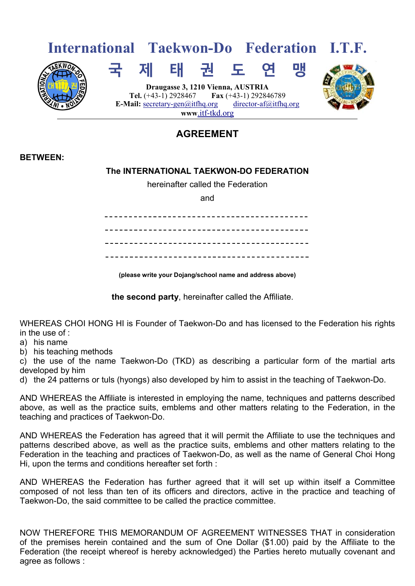

## **AGREEMENT**

## **BETWEEN:**

## **The INTERNATIONAL TAEKWON-DO FEDERATION**

hereinafter called the Federation

and

**(please write your Dojang/school name and address above)** 

**the second party**, hereinafter called the Affiliate.

WHEREAS CHOI HONG HI is Founder of Taekwon-Do and has licensed to the Federation his rights in the use of :

a) his name

b) his teaching methods

c) the use of the name Taekwon-Do (TKD) as describing a particular form of the martial arts developed by him

d) the 24 patterns or tuls (hyongs) also developed by him to assist in the teaching of Taekwon-Do.

AND WHEREAS the Affiliate is interested in employing the name, techniques and patterns described above, as well as the practice suits, emblems and other matters relating to the Federation, in the teaching and practices of Taekwon-Do.

AND WHEREAS the Federation has agreed that it will permit the Affiliate to use the techniques and patterns described above, as well as the practice suits, emblems and other matters relating to the Federation in the teaching and practices of Taekwon-Do, as well as the name of General Choi Hong Hi, upon the terms and conditions hereafter set forth :

AND WHEREAS the Federation has further agreed that it will set up within itself a Committee composed of not less than ten of its officers and directors, active in the practice and teaching of Taekwon-Do, the said committee to be called the practice committee.

NOW THEREFORE THIS MEMORANDUM OF AGREEMENT WITNESSES THAT in consideration of the premises herein contained and the sum of One Dollar (\$1.00) paid by the Affiliate to the Federation (the receipt whereof is hereby acknowledged) the Parties hereto mutually covenant and agree as follows :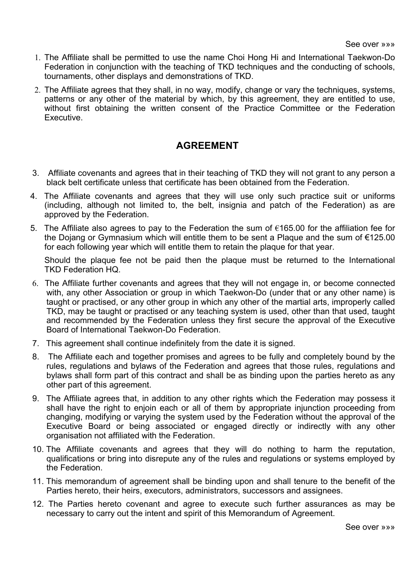- 1. The Affiliate shall be permitted to use the name Choi Hong Hi and International Taekwon-Do Federation in conjunction with the teaching of TKD techniques and the conducting of schools, tournaments, other displays and demonstrations of TKD.
- 2. The Affiliate agrees that they shall, in no way, modify, change or vary the techniques, systems, patterns or any other of the material by which, by this agreement, they are entitled to use, without first obtaining the written consent of the Practice Committee or the Federation **Executive**

## **AGREEMENT**

- 3. Affiliate covenants and agrees that in their teaching of TKD they will not grant to any person a black belt certificate unless that certificate has been obtained from the Federation.
- 4. The Affiliate covenants and agrees that they will use only such practice suit or uniforms (including, although not limited to, the belt, insignia and patch of the Federation) as are approved by the Federation.
- 5. The Affiliate also agrees to pay to the Federation the sum of €165.00 for the affiliation fee for the Dojang or Gymnasium which will entitle them to be sent a Plaque and the sum of €125.00 for each following year which will entitle them to retain the plaque for that year.

 Should the plaque fee not be paid then the plaque must be returned to the International TKD Federation HQ.

- 6. The Affiliate further covenants and agrees that they will not engage in, or become connected with, any other Association or group in which Taekwon-Do (under that or any other name) is taught or practised, or any other group in which any other of the martial arts, improperly called TKD, may be taught or practised or any teaching system is used, other than that used, taught and recommended by the Federation unless they first secure the approval of the Executive Board of International Taekwon-Do Federation.
- 7. This agreement shall continue indefinitely from the date it is signed.
- 8. The Affiliate each and together promises and agrees to be fully and completely bound by the rules, regulations and bylaws of the Federation and agrees that those rules, regulations and bylaws shall form part of this contract and shall be as binding upon the parties hereto as any other part of this agreement.
- 9. The Affiliate agrees that, in addition to any other rights which the Federation may possess it shall have the right to enjoin each or all of them by appropriate injunction proceeding from changing, modifying or varying the system used by the Federation without the approval of the Executive Board or being associated or engaged directly or indirectly with any other organisation not affiliated with the Federation.
- 10. The Affiliate covenants and agrees that they will do nothing to harm the reputation, qualifications or bring into disrepute any of the rules and regulations or systems employed by the Federation.
- 11. This memorandum of agreement shall be binding upon and shall tenure to the benefit of the Parties hereto, their heirs, executors, administrators, successors and assignees.
- 12. The Parties hereto covenant and agree to execute such further assurances as may be necessary to carry out the intent and spirit of this Memorandum of Agreement.